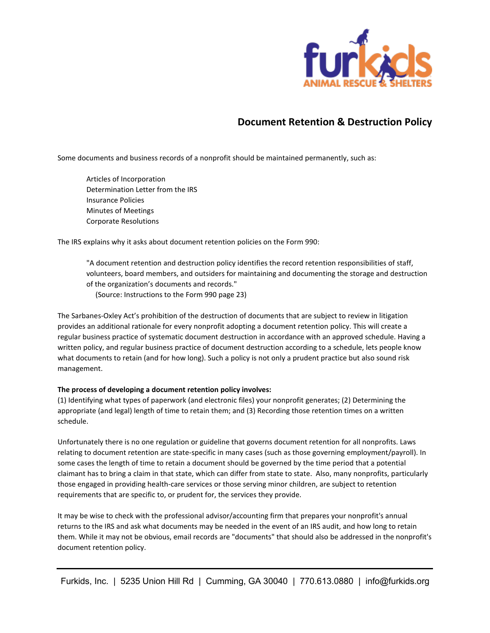

# **Document Retention & Destruction Policy**

Some documents and business records of a nonprofit should be maintained permanently, such as:

Articles of Incorporation Determination Letter from the IRS Insurance Policies Minutes of Meetings Corporate Resolutions

The IRS explains why it asks about document retention policies on the Form 990:

"A document retention and destruction policy identifies the record retention responsibilities of staff, volunteers, board members, and outsiders for maintaining and documenting the storage and destruction of the organization's documents and records."

(Source: Instructions to the Form 990 page 23)

The Sarbanes-Oxley Act's prohibition of the destruction of documents that are subject to review in litigation provides an additional rationale for every nonprofit adopting a document retention policy. This will create a regular business practice of systematic document destruction in accordance with an approved schedule. Having a written policy, and regular business practice of document destruction according to a schedule, lets people know what documents to retain (and for how long). Such a policy is not only a prudent practice but also sound risk management.

## **The process of developing a document retention policy involves:**

(1) Identifying what types of paperwork (and electronic files) your nonprofit generates; (2) Determining the appropriate (and legal) length of time to retain them; and (3) Recording those retention times on a written schedule.

Unfortunately there is no one regulation or guideline that governs document retention for all nonprofits. Laws relating to document retention are state-specific in many cases (such as those governing employment/payroll). In some cases the length of time to retain a document should be governed by the time period that a potential claimant has to bring a claim in that state, which can differ from state to state. Also, many nonprofits, particularly those engaged in providing health-care services or those serving minor children, are subject to retention requirements that are specific to, or prudent for, the services they provide.

It may be wise to check with the professional advisor/accounting firm that prepares your nonprofit's annual returns to the IRS and ask what documents may be needed in the event of an IRS audit, and how long to retain them. While it may not be obvious, email records are "documents" that should also be addressed in the nonprofit's document retention policy.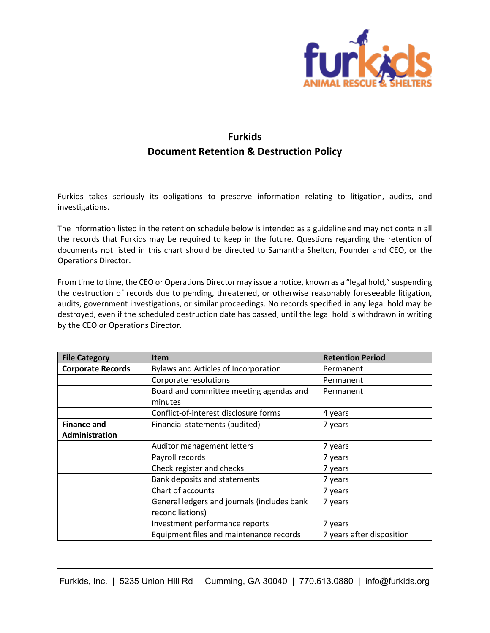

# **Furkids Document Retention & Destruction Policy**

Furkids takes seriously its obligations to preserve information relating to litigation, audits, and investigations.

The information listed in the retention schedule below is intended as a guideline and may not contain all the records that Furkids may be required to keep in the future. Questions regarding the retention of documents not listed in this chart should be directed to Samantha Shelton, Founder and CEO, or the Operations Director.

From time to time, the CEO or Operations Director may issue a notice, known as a "legal hold," suspending the destruction of records due to pending, threatened, or otherwise reasonably foreseeable litigation, audits, government investigations, or similar proceedings. No records specified in any legal hold may be destroyed, even if the scheduled destruction date has passed, until the legal hold is withdrawn in writing by the CEO or Operations Director.

| <b>File Category</b>     | <b>Item</b>                                                     | <b>Retention Period</b>   |
|--------------------------|-----------------------------------------------------------------|---------------------------|
| <b>Corporate Records</b> | Bylaws and Articles of Incorporation                            | Permanent                 |
|                          | Corporate resolutions                                           | Permanent                 |
|                          | Board and committee meeting agendas and<br>minutes              | Permanent                 |
|                          | Conflict-of-interest disclosure forms                           | 4 years                   |
| <b>Finance and</b>       | Financial statements (audited)                                  | 7 years                   |
| Administration           |                                                                 |                           |
|                          | Auditor management letters                                      | 7 years                   |
|                          | Payroll records                                                 | 7 years                   |
|                          | Check register and checks                                       | 7 years                   |
|                          | Bank deposits and statements                                    | 7 years                   |
|                          | Chart of accounts                                               | 7 years                   |
|                          | General ledgers and journals (includes bank<br>reconciliations) | 7 years                   |
|                          | Investment performance reports                                  | 7 years                   |
|                          | Equipment files and maintenance records                         | 7 years after disposition |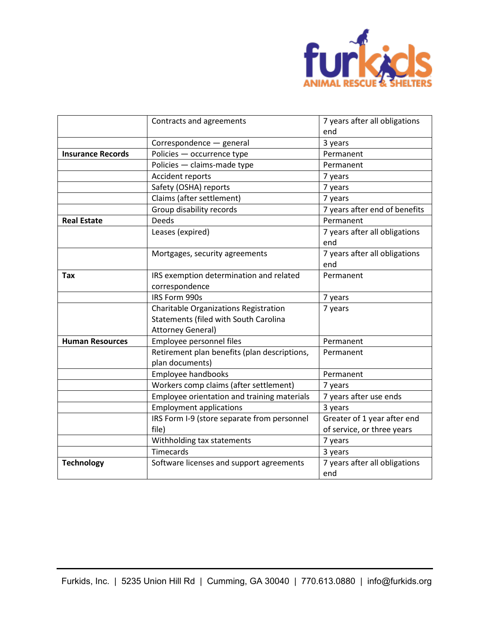

|                          | Contracts and agreements                     | 7 years after all obligations<br>end |
|--------------------------|----------------------------------------------|--------------------------------------|
|                          | Correspondence - general                     | 3 years                              |
| <b>Insurance Records</b> | Policies - occurrence type                   | Permanent                            |
|                          | Policies - claims-made type                  | Permanent                            |
|                          | Accident reports                             | 7 years                              |
|                          | Safety (OSHA) reports                        | 7 years                              |
|                          | Claims (after settlement)                    | 7 years                              |
|                          | Group disability records                     | 7 years after end of benefits        |
| <b>Real Estate</b>       | <b>Deeds</b>                                 | Permanent                            |
|                          | Leases (expired)                             | 7 years after all obligations        |
|                          |                                              | end                                  |
|                          | Mortgages, security agreements               | 7 years after all obligations        |
|                          |                                              | end                                  |
| <b>Tax</b>               | IRS exemption determination and related      | Permanent                            |
|                          | correspondence                               |                                      |
|                          | IRS Form 990s                                | 7 years                              |
|                          | Charitable Organizations Registration        | 7 years                              |
|                          | Statements (filed with South Carolina        |                                      |
|                          | Attorney General)                            |                                      |
| <b>Human Resources</b>   | Employee personnel files                     | Permanent                            |
|                          | Retirement plan benefits (plan descriptions, | Permanent                            |
|                          | plan documents)                              |                                      |
|                          | Employee handbooks                           | Permanent                            |
|                          | Workers comp claims (after settlement)       | 7 years                              |
|                          | Employee orientation and training materials  | 7 years after use ends               |
|                          | <b>Employment applications</b>               | 3 years                              |
|                          | IRS Form I-9 (store separate from personnel  | Greater of 1 year after end          |
|                          | file)                                        | of service, or three years           |
|                          | Withholding tax statements                   | 7 years                              |
|                          | <b>Timecards</b>                             | 3 years                              |
| <b>Technology</b>        | Software licenses and support agreements     | 7 years after all obligations        |
|                          |                                              | end                                  |